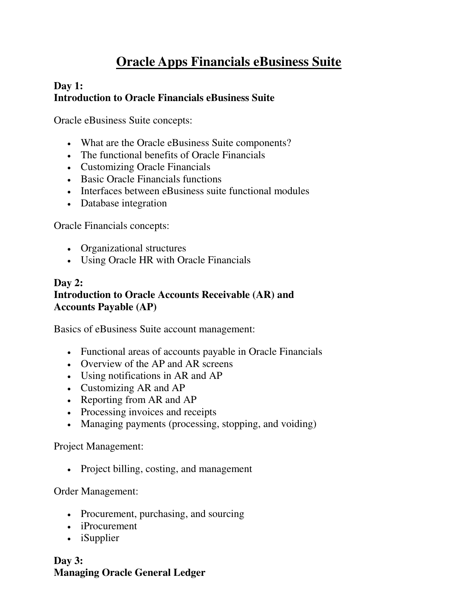# **Oracle Apps Financials eBusiness Suite**

## **Day 1: Introduction to Oracle Financials eBusiness Suite**

Oracle eBusiness Suite concepts:

- What are the Oracle eBusiness Suite components?
- The functional benefits of Oracle Financials
- Customizing Oracle Financials
- Basic Oracle Financials functions
- Interfaces between eBusiness suite functional modules
- Database integration

Oracle Financials concepts:

- Organizational structures
- Using Oracle HR with Oracle Financials

### **Day 2: Introduction to Oracle Accounts Receivable (AR) and Accounts Payable (AP)**

Basics of eBusiness Suite account management:

- Functional areas of accounts payable in Oracle Financials
- Overview of the AP and AR screens
- Using notifications in AR and AP
- Customizing AR and AP
- Reporting from AR and AP
- Processing invoices and receipts
- Managing payments (processing, stopping, and voiding)

Project Management:

• Project billing, costing, and management

Order Management:

- Procurement, purchasing, and sourcing
- iProcurement
- iSupplier

**Day 3: Managing Oracle General Ledger**